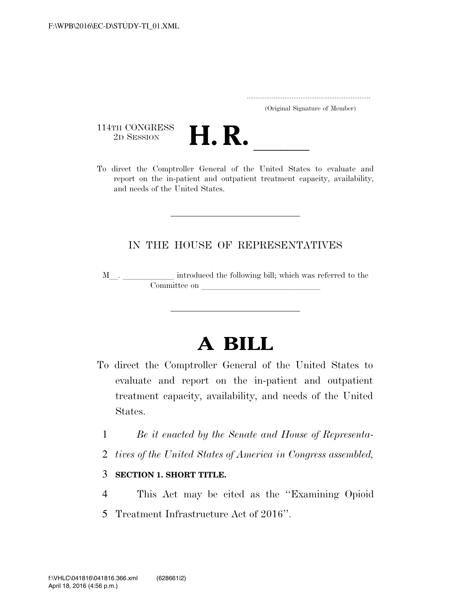|  | (Original Signature of Member) |  |
|--|--------------------------------|--|

114TH CONGRESS<br>2D SESSION



114TH CONGRESS<br>
2D SESSION<br>
To direct the Comptroller General of the United States to evaluate and report on the in-patient and outpatient treatment capacity, availability, and needs of the United States.

## IN THE HOUSE OF REPRESENTATIVES

M $\_$   $\_$   $\_$   $\_$  introduced the following bill; which was referred to the Committee on

## **A BILL**

- To direct the Comptroller General of the United States to evaluate and report on the in-patient and outpatient treatment capacity, availability, and needs of the United States.
	- 1 *Be it enacted by the Senate and House of Representa-*
	- 2 *tives of the United States of America in Congress assembled,*

## 3 **SECTION 1. SHORT TITLE.**

4 This Act may be cited as the ''Examining Opioid 5 Treatment Infrastructure Act of 2016''.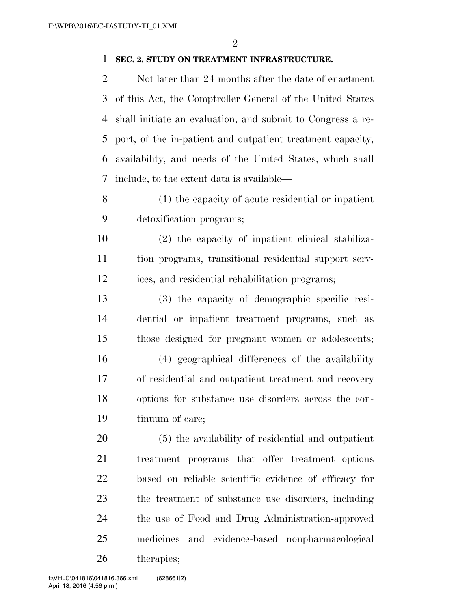## **SEC. 2. STUDY ON TREATMENT INFRASTRUCTURE.**

2 Not later than 24 months after the date of enactment of this Act, the Comptroller General of the United States shall initiate an evaluation, and submit to Congress a re- port, of the in-patient and outpatient treatment capacity, availability, and needs of the United States, which shall include, to the extent data is available—

 (1) the capacity of acute residential or inpatient detoxification programs;

 (2) the capacity of inpatient clinical stabiliza- tion programs, transitional residential support serv-ices, and residential rehabilitation programs;

 (3) the capacity of demographic specific resi- dential or inpatient treatment programs, such as those designed for pregnant women or adolescents;

 (4) geographical differences of the availability of residential and outpatient treatment and recovery options for substance use disorders across the con-tinuum of care;

 (5) the availability of residential and outpatient treatment programs that offer treatment options based on reliable scientific evidence of efficacy for the treatment of substance use disorders, including the use of Food and Drug Administration-approved medicines and evidence-based nonpharmacological therapies;